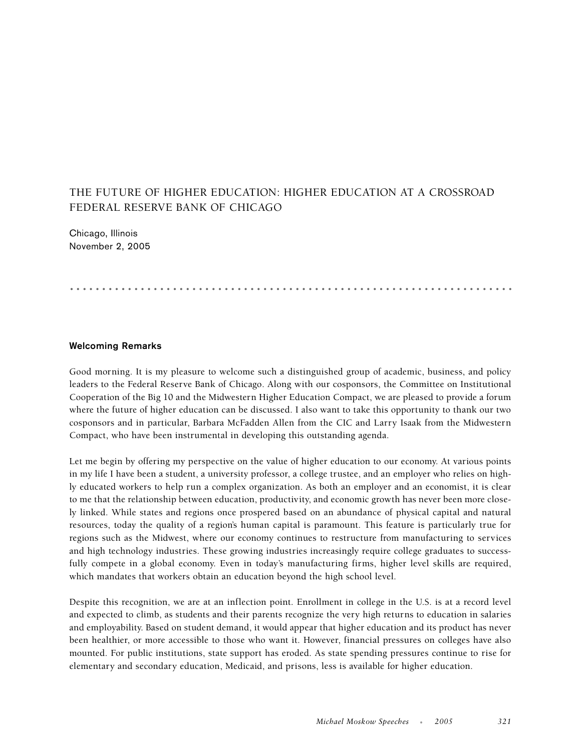## THE FUTURE OF HIGHER EDUCATION: HIGHER EDUCATION AT A CROSSROAD FEDERAL RESERVE BANK OF CHICAGO

Chicago, Illinois November 2, 2005

## .....................................................................

## **Welcoming Remarks**

Good morning. It is my pleasure to welcome such a distinguished group of academic, business, and policy leaders to the Federal Reserve Bank of Chicago. Along with our cosponsors, the Committee on Institutional Cooperation of the Big 10 and the Midwestern Higher Education Compact, we are pleased to provide a forum where the future of higher education can be discussed. I also want to take this opportunity to thank our two cosponsors and in particular, Barbara McFadden Allen from the CIC and Larry Isaak from the Midwestern Compact, who have been instrumental in developing this outstanding agenda.

Let me begin by offering my perspective on the value of higher education to our economy. At various points in my life I have been a student, a university professor, a college trustee, and an employer who relies on highly educated workers to help run a complex organization. As both an employer and an economist, it is clear to me that the relationship between education, productivity, and economic growth has never been more closely linked. While states and regions once prospered based on an abundance of physical capital and natural resources, today the quality of a region's human capital is paramount. This feature is particularly true for regions such as the Midwest, where our economy continues to restructure from manufacturing to services and high technology industries. These growing industries increasingly require college graduates to successfully compete in a global economy. Even in today's manufacturing firms, higher level skills are required, which mandates that workers obtain an education beyond the high school level.

Despite this recognition, we are at an inflection point. Enrollment in college in the U.S. is at a record level and expected to climb, as students and their parents recognize the very high returns to education in salaries and employability. Based on student demand, it would appear that higher education and its product has never been healthier, or more accessible to those who want it. However, financial pressures on colleges have also mounted. For public institutions, state support has eroded. As state spending pressures continue to rise for elementary and secondary education, Medicaid, and prisons, less is available for higher education.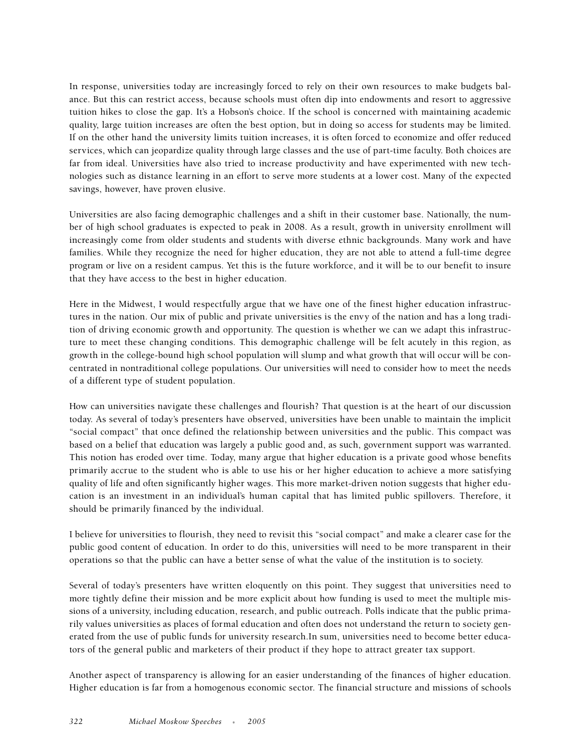In response, universities today are increasingly forced to rely on their own resources to make budgets balance. But this can restrict access, because schools must often dip into endowments and resort to aggressive tuition hikes to close the gap. It's a Hobson's choice. If the school is concerned with maintaining academic quality, large tuition increases are often the best option, but in doing so access for students may be limited. If on the other hand the university limits tuition increases, it is often forced to economize and offer reduced services, which can jeopardize quality through large classes and the use of part-time faculty. Both choices are far from ideal. Universities have also tried to increase productivity and have experimented with new technologies such as distance learning in an effort to serve more students at a lower cost. Many of the expected savings, however, have proven elusive.

Universities are also facing demographic challenges and a shift in their customer base. Nationally, the number of high school graduates is expected to peak in 2008. As a result, growth in university enrollment will increasingly come from older students and students with diverse ethnic backgrounds. Many work and have families. While they recognize the need for higher education, they are not able to attend a full-time degree program or live on a resident campus. Yet this is the future workforce, and it will be to our benefit to insure that they have access to the best in higher education.

Here in the Midwest, I would respectfully argue that we have one of the finest higher education infrastructures in the nation. Our mix of public and private universities is the envy of the nation and has a long tradition of driving economic growth and opportunity. The question is whether we can we adapt this infrastructure to meet these changing conditions. This demographic challenge will be felt acutely in this region, as growth in the college-bound high school population will slump and what growth that will occur will be concentrated in nontraditional college populations. Our universities will need to consider how to meet the needs of a different type of student population.

How can universities navigate these challenges and flourish? That question is at the heart of our discussion today. As several of today's presenters have observed, universities have been unable to maintain the implicit "social compact" that once defined the relationship between universities and the public. This compact was based on a belief that education was largely a public good and, as such, government support was warranted. This notion has eroded over time. Today, many argue that higher education is a private good whose benefits primarily accrue to the student who is able to use his or her higher education to achieve a more satisfying quality of life and often significantly higher wages. This more market-driven notion suggests that higher education is an investment in an individual's human capital that has limited public spillovers. Therefore, it should be primarily financed by the individual.

I believe for universities to flourish, they need to revisit this "social compact" and make a clearer case for the public good content of education. In order to do this, universities will need to be more transparent in their operations so that the public can have a better sense of what the value of the institution is to society.

Several of today's presenters have written eloquently on this point. They suggest that universities need to more tightly define their mission and be more explicit about how funding is used to meet the multiple missions of a university, including education, research, and public outreach. Polls indicate that the public primarily values universities as places of formal education and often does not understand the return to society generated from the use of public funds for university research.In sum, universities need to become better educators of the general public and marketers of their product if they hope to attract greater tax support.

Another aspect of transparency is allowing for an easier understanding of the finances of higher education. Higher education is far from a homogenous economic sector. The financial structure and missions of schools